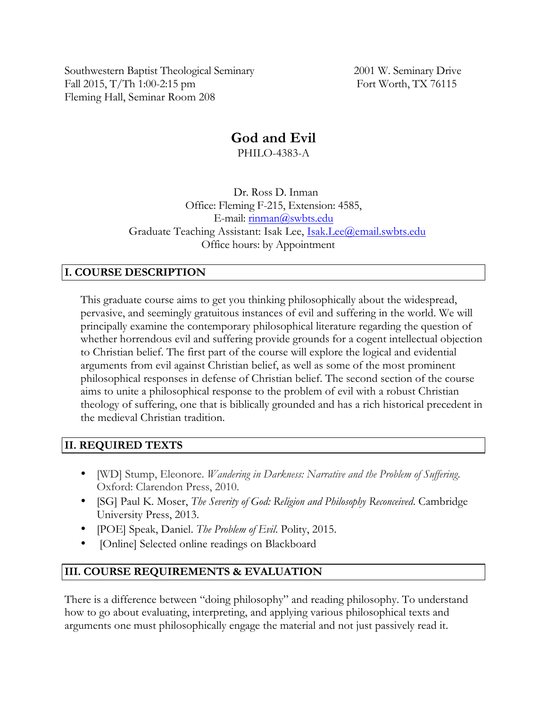Southwestern Baptist Theological Seminary 2001 W. Seminary Drive Fall 2015, T/Th 1:00-2:15 pm Fort Worth, TX 76115 Fleming Hall, Seminar Room 208

# **God and Evil**

PHILO-4383-A

 Dr. Ross D. Inman Office: Fleming F-215, Extension: 4585, E-mail: rinman@swbts.edu Graduate Teaching Assistant: Isak Lee, Isak.Lee@email.swbts.edu Office hours: by Appointment

# **I. COURSE DESCRIPTION**

This graduate course aims to get you thinking philosophically about the widespread, pervasive, and seemingly gratuitous instances of evil and suffering in the world. We will principally examine the contemporary philosophical literature regarding the question of whether horrendous evil and suffering provide grounds for a cogent intellectual objection to Christian belief. The first part of the course will explore the logical and evidential arguments from evil against Christian belief, as well as some of the most prominent philosophical responses in defense of Christian belief. The second section of the course aims to unite a philosophical response to the problem of evil with a robust Christian theology of suffering, one that is biblically grounded and has a rich historical precedent in the medieval Christian tradition.

# **II. REQUIRED TEXTS**

- [WD] Stump, Eleonore. *Wandering in Darkness: Narrative and the Problem of Suffering*. Oxford: Clarendon Press, 2010.
- [SG] Paul K. Moser, *The Severity of God: Religion and Philosophy Reconceived*. Cambridge University Press, 2013.
- [POE] Speak, Daniel. *The Problem of Evil*. Polity, 2015.
- [Online] Selected online readings on Blackboard

# **III. COURSE REQUIREMENTS & EVALUATION**

There is a difference between "doing philosophy" and reading philosophy. To understand how to go about evaluating, interpreting, and applying various philosophical texts and arguments one must philosophically engage the material and not just passively read it.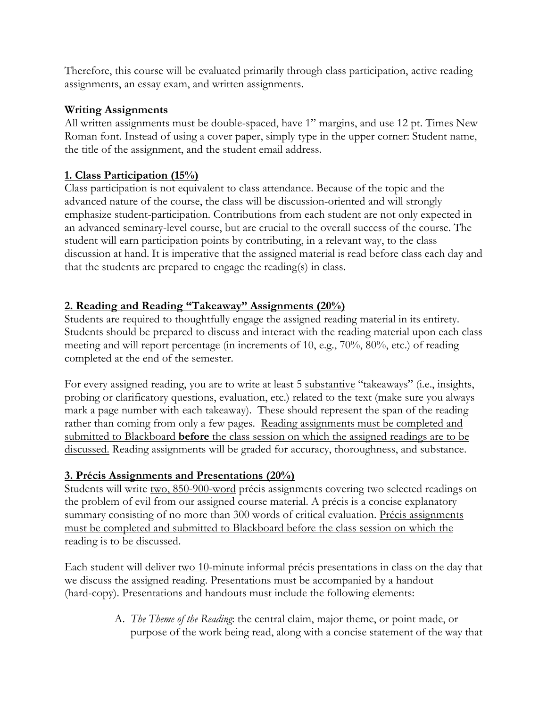Therefore, this course will be evaluated primarily through class participation, active reading assignments, an essay exam, and written assignments.

# **Writing Assignments**

All written assignments must be double-spaced, have 1" margins, and use 12 pt. Times New Roman font. Instead of using a cover paper, simply type in the upper corner: Student name, the title of the assignment, and the student email address.

# **1. Class Participation (15%)**

Class participation is not equivalent to class attendance. Because of the topic and the advanced nature of the course, the class will be discussion-oriented and will strongly emphasize student-participation. Contributions from each student are not only expected in an advanced seminary-level course, but are crucial to the overall success of the course. The student will earn participation points by contributing, in a relevant way, to the class discussion at hand. It is imperative that the assigned material is read before class each day and that the students are prepared to engage the reading(s) in class.

## **2. Reading and Reading "Takeaway" Assignments (20%)**

Students are required to thoughtfully engage the assigned reading material in its entirety. Students should be prepared to discuss and interact with the reading material upon each class meeting and will report percentage (in increments of 10, e.g., 70%, 80%, etc.) of reading completed at the end of the semester.

For every assigned reading, you are to write at least 5 substantive "takeaways" (i.e., insights, probing or clarificatory questions, evaluation, etc.) related to the text (make sure you always mark a page number with each takeaway). These should represent the span of the reading rather than coming from only a few pages. Reading assignments must be completed and submitted to Blackboard **before** the class session on which the assigned readings are to be discussed. Reading assignments will be graded for accuracy, thoroughness, and substance.

# **3. Précis Assignments and Presentations (20%)**

Students will write two, 850-900-word précis assignments covering two selected readings on the problem of evil from our assigned course material. A précis is a concise explanatory summary consisting of no more than 300 words of critical evaluation. Précis assignments must be completed and submitted to Blackboard before the class session on which the reading is to be discussed.

Each student will deliver two 10-minute informal précis presentations in class on the day that we discuss the assigned reading. Presentations must be accompanied by a handout (hard-copy). Presentations and handouts must include the following elements:

> A. *The Theme of the Reading*: the central claim, major theme, or point made, or purpose of the work being read, along with a concise statement of the way that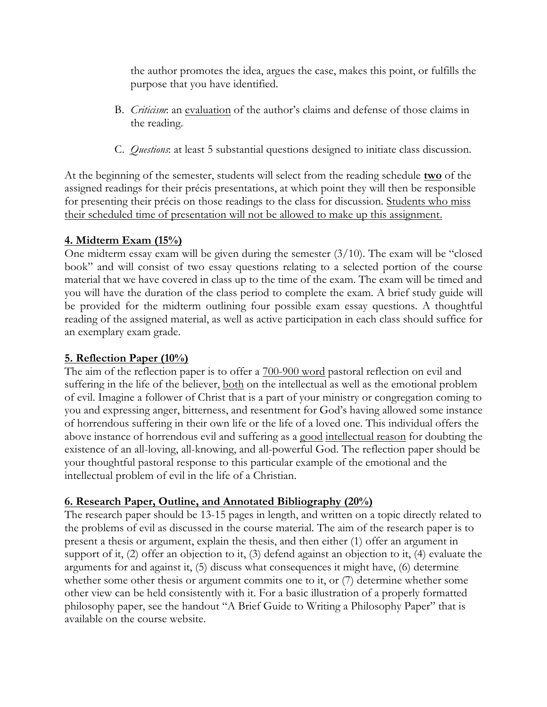the author promotes the idea, argues the case, makes this point, or fulfills the purpose that you have identified.

- B. *Criticism*: an evaluation of the author's claims and defense of those claims in the reading.
- C. *Questions*: at least 5 substantial questions designed to initiate class discussion.

At the beginning of the semester, students will select from the reading schedule **two** of the assigned readings for their précis presentations, at which point they will then be responsible for presenting their précis on those readings to the class for discussion. Students who miss their scheduled time of presentation will not be allowed to make up this assignment.

## **4. Midterm Exam (15%)**

One midterm essay exam will be given during the semester (3/10). The exam will be "closed book" and will consist of two essay questions relating to a selected portion of the course material that we have covered in class up to the time of the exam. The exam will be timed and you will have the duration of the class period to complete the exam. A brief study guide will be provided for the midterm outlining four possible exam essay questions. A thoughtful reading of the assigned material, as well as active participation in each class should suffice for an exemplary exam grade.

# **5. Reflection Paper (10%)**

The aim of the reflection paper is to offer a  $700-900$  word pastoral reflection on evil and suffering in the life of the believer, both on the intellectual as well as the emotional problem of evil. Imagine a follower of Christ that is a part of your ministry or congregation coming to you and expressing anger, bitterness, and resentment for God's having allowed some instance of horrendous suffering in their own life or the life of a loved one. This individual offers the above instance of horrendous evil and suffering as a good intellectual reason for doubting the existence of an all-loving, all-knowing, and all-powerful God. The reflection paper should be your thoughtful pastoral response to this particular example of the emotional and the intellectual problem of evil in the life of a Christian.

### **6. Research Paper, Outline, and Annotated Bibliography (20%)**

The research paper should be 13-15 pages in length, and written on a topic directly related to the problems of evil as discussed in the course material. The aim of the research paper is to present a thesis or argument, explain the thesis, and then either (1) offer an argument in support of it, (2) offer an objection to it, (3) defend against an objection to it, (4) evaluate the arguments for and against it, (5) discuss what consequences it might have, (6) determine whether some other thesis or argument commits one to it, or (7) determine whether some other view can be held consistently with it. For a basic illustration of a properly formatted philosophy paper, see the handout "A Brief Guide to Writing a Philosophy Paper" that is available on the course website.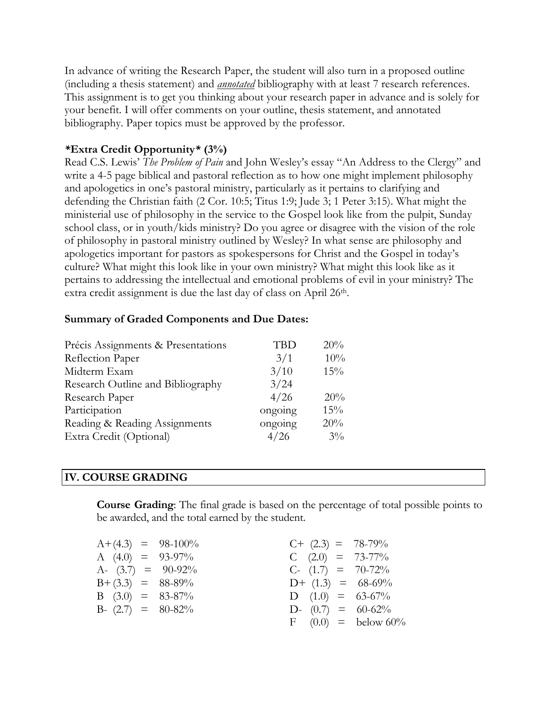In advance of writing the Research Paper, the student will also turn in a proposed outline (including a thesis statement) and *annotated* bibliography with at least 7 research references. This assignment is to get you thinking about your research paper in advance and is solely for your benefit. I will offer comments on your outline, thesis statement, and annotated bibliography. Paper topics must be approved by the professor.

#### *\****Extra Credit Opportunity***\** **(3%)**

Read C.S. Lewis' *The Problem of Pain* and John Wesley's essay "An Address to the Clergy" and write a 4-5 page biblical and pastoral reflection as to how one might implement philosophy and apologetics in one's pastoral ministry, particularly as it pertains to clarifying and defending the Christian faith (2 Cor. 10:5; Titus 1:9; Jude 3; 1 Peter 3:15). What might the ministerial use of philosophy in the service to the Gospel look like from the pulpit, Sunday school class, or in youth/kids ministry? Do you agree or disagree with the vision of the role of philosophy in pastoral ministry outlined by Wesley? In what sense are philosophy and apologetics important for pastors as spokespersons for Christ and the Gospel in today's culture? What might this look like in your own ministry? What might this look like as it pertains to addressing the intellectual and emotional problems of evil in your ministry? The extra credit assignment is due the last day of class on April 26<sup>th</sup>.

#### **Summary of Graded Components and Due Dates:**

| Précis Assignments & Presentations | TBD     | 20%   |
|------------------------------------|---------|-------|
| Reflection Paper                   | 3/1     | 10%   |
| Midterm Exam                       | 3/10    | 15%   |
| Research Outline and Bibliography  | 3/24    |       |
| Research Paper                     | 4/26    | 20%   |
| Participation                      | ongoing | 15%   |
| Reading & Reading Assignments      | ongoing | 20%   |
| Extra Credit (Optional)            | 4/26    | $3\%$ |

#### **IV. COURSE GRADING**

**Course Grading**: The final grade is based on the percentage of total possible points to be awarded, and the total earned by the student.

|                       | $A+(4.3) = 98-100\%$ | $C+$ (2.3) = 78-79%  |  |
|-----------------------|----------------------|----------------------|--|
| A $(4.0) = 93-97\%$   |                      | C $(2.0) = 73-77\%$  |  |
| A- $(3.7) = 90-92\%$  |                      | $C-$ (1.7) = 70-72%  |  |
| $B + (3.3) = 88-89\%$ |                      | $D+$ (1.3) = 68-69%  |  |
| B $(3.0) = 83-87\%$   |                      | D $(1.0) = 63-67\%$  |  |
| B- $(2.7) = 80-82\%$  |                      | D- $(0.7) = 60-62\%$ |  |
|                       |                      | $F(0.0) =$ below 60% |  |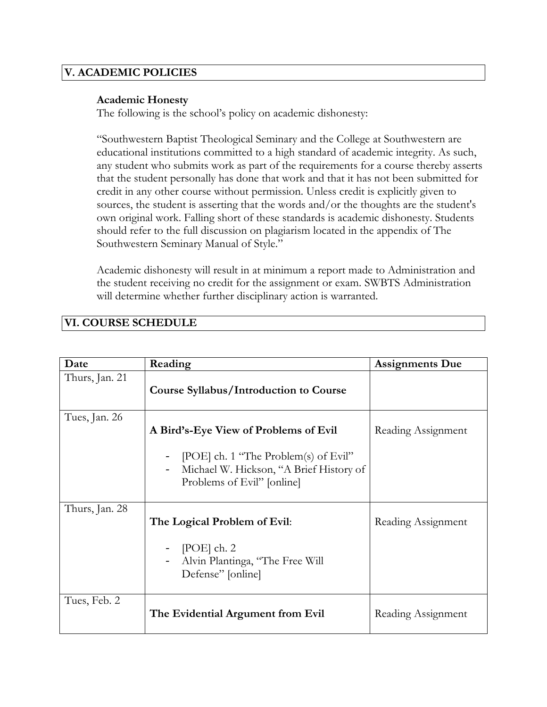### **V. ACADEMIC POLICIES**

#### **Academic Honesty**

The following is the school's policy on academic dishonesty:

"Southwestern Baptist Theological Seminary and the College at Southwestern are educational institutions committed to a high standard of academic integrity. As such, any student who submits work as part of the requirements for a course thereby asserts that the student personally has done that work and that it has not been submitted for credit in any other course without permission. Unless credit is explicitly given to sources, the student is asserting that the words and/or the thoughts are the student's own original work. Falling short of these standards is academic dishonesty. Students should refer to the full discussion on plagiarism located in the appendix of The Southwestern Seminary Manual of Style."

Academic dishonesty will result in at minimum a report made to Administration and the student receiving no credit for the assignment or exam. SWBTS Administration will determine whether further disciplinary action is warranted.

## **VI. COURSE SCHEDULE**

| Date           | Reading                                                                                                                                                | <b>Assignments Due</b> |
|----------------|--------------------------------------------------------------------------------------------------------------------------------------------------------|------------------------|
| Thurs, Jan. 21 | <b>Course Syllabus/Introduction to Course</b>                                                                                                          |                        |
| Tues, Jan. 26  | A Bird's-Eye View of Problems of Evil<br>[POE] ch. 1 "The Problem(s) of Evil"<br>Michael W. Hickson, "A Brief History of<br>Problems of Evil" [online] | Reading Assignment     |
| Thurs, Jan. 28 | The Logical Problem of Evil:<br>[POE] ch. $2$<br>Alvin Plantinga, "The Free Will<br>Defense" [online]                                                  | Reading Assignment     |
| Tues, Feb. 2   | The Evidential Argument from Evil                                                                                                                      | Reading Assignment     |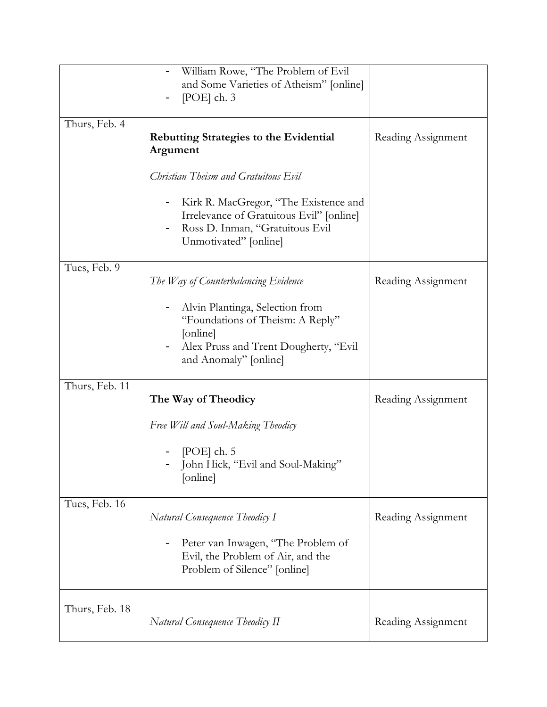|                | William Rowe, "The Problem of Evil<br>and Some Varieties of Atheism" [online]<br>[POE] $ch. 3$<br>-                                                                                                                       |                    |
|----------------|---------------------------------------------------------------------------------------------------------------------------------------------------------------------------------------------------------------------------|--------------------|
| Thurs, Feb. 4  | <b>Rebutting Strategies to the Evidential</b><br>Argument<br>Christian Theism and Gratuitous Evil<br>Kirk R. MacGregor, "The Existence and<br>Irrelevance of Gratuitous Evil" [online]<br>Ross D. Inman, "Gratuitous Evil | Reading Assignment |
| Tues, Feb. 9   | Unmotivated" [online]                                                                                                                                                                                                     |                    |
|                | The Way of Counterbalancing Evidence<br>Alvin Plantinga, Selection from<br>"Foundations of Theism: A Reply"<br>[online]<br>Alex Pruss and Trent Dougherty, "Evil<br>and Anomaly" [online]                                 | Reading Assignment |
| Thurs, Feb. 11 | The Way of Theodicy                                                                                                                                                                                                       | Reading Assignment |
|                | Free Will and Soul-Making Theodicy<br>[POE] $ch. 5$<br>John Hick, "Evil and Soul-Making"<br>[online]                                                                                                                      |                    |
| Tues, Feb. 16  | Natural Consequence Theodicy I<br>Peter van Inwagen, "The Problem of<br>Evil, the Problem of Air, and the<br>Problem of Silence" [online]                                                                                 | Reading Assignment |
| Thurs, Feb. 18 | Natural Consequence Theodicy II                                                                                                                                                                                           | Reading Assignment |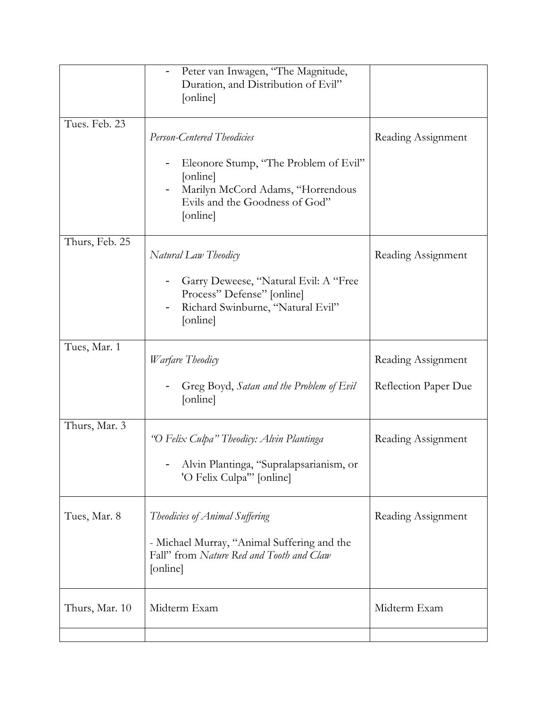|                | Peter van Inwagen, "The Magnitude,<br>Duration, and Distribution of Evil"<br>[online]                                                |                      |
|----------------|--------------------------------------------------------------------------------------------------------------------------------------|----------------------|
| Tues. Feb. 23  | <b>Person-Centered Theodicies</b>                                                                                                    | Reading Assignment   |
|                | Eleonore Stump, "The Problem of Evil"<br>[online]<br>Marilyn McCord Adams, "Horrendous<br>Evils and the Goodness of God"<br>[online] |                      |
| Thurs, Feb. 25 | Natural Law Theodicy                                                                                                                 | Reading Assignment   |
|                | Garry Deweese, "Natural Evil: A "Free<br>Process" Defense" [online]<br>Richard Swinburne, "Natural Evil"<br>[online]                 |                      |
| Tues, Mar. 1   | Warfare Theodicy                                                                                                                     | Reading Assignment   |
|                | Greg Boyd, Satan and the Problem of Evil<br>[online]                                                                                 | Reflection Paper Due |
| Thurs, Mar. 3  | "O Felix Culpa" Theodicy: Alvin Plantinga                                                                                            | Reading Assignment   |
|                | Alvin Plantinga, "Supralapsarianism, or<br>'O Felix Culpa'" [online]                                                                 |                      |
| Tues, Mar. 8   | Theodicies of Animal Suffering                                                                                                       | Reading Assignment   |
|                | - Michael Murray, "Animal Suffering and the<br>Fall" from Nature Red and Tooth and Claw<br>[online]                                  |                      |
| Thurs, Mar. 10 | Midterm Exam                                                                                                                         | Midterm Exam         |
|                |                                                                                                                                      |                      |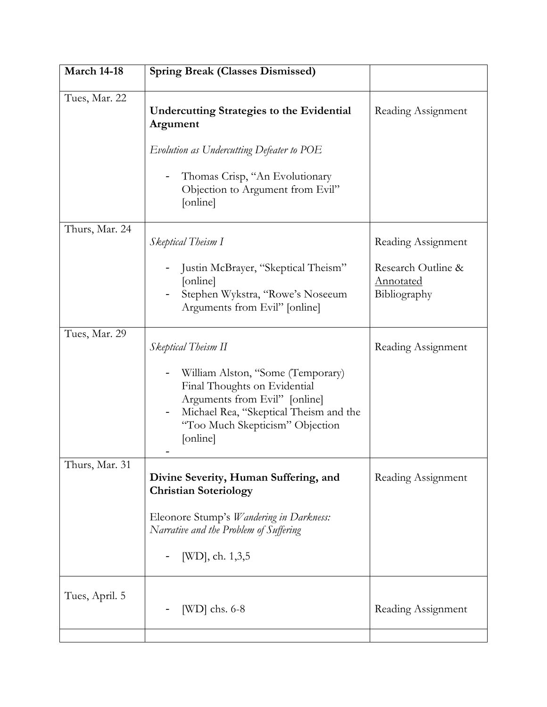| <b>March 14-18</b> | <b>Spring Break (Classes Dismissed)</b>                                                                                                                                                     |                                                 |
|--------------------|---------------------------------------------------------------------------------------------------------------------------------------------------------------------------------------------|-------------------------------------------------|
| Tues, Mar. 22      | <b>Undercutting Strategies to the Evidential</b><br>Argument                                                                                                                                | Reading Assignment                              |
|                    | Evolution as Undercutting Defeater to POE                                                                                                                                                   |                                                 |
|                    | Thomas Crisp, "An Evolutionary<br>Objection to Argument from Evil"<br>[online]                                                                                                              |                                                 |
| Thurs, Mar. 24     | Skeptical Theism I                                                                                                                                                                          | Reading Assignment                              |
|                    | Justin McBrayer, "Skeptical Theism"<br>[online]<br>Stephen Wykstra, "Rowe's Noseeum<br>Arguments from Evil" [online]                                                                        | Research Outline &<br>Annotated<br>Bibliography |
| Tues, Mar. 29      | Skeptical Theism II                                                                                                                                                                         | Reading Assignment                              |
|                    | William Alston, "Some (Temporary)<br>Final Thoughts on Evidential<br>Arguments from Evil" [online]<br>Michael Rea, "Skeptical Theism and the<br>"Too Much Skepticism" Objection<br>[online] |                                                 |
| Thurs, Mar. 31     | Divine Severity, Human Suffering, and<br><b>Christian Soteriology</b>                                                                                                                       | Reading Assignment                              |
|                    | Eleonore Stump's <i>Wandering in Darkness</i> :<br>Narrative and the Problem of Suffering                                                                                                   |                                                 |
|                    | [WD], ch. 1,3,5                                                                                                                                                                             |                                                 |
| Tues, April. 5     | $[WD]$ chs. 6-8                                                                                                                                                                             | Reading Assignment                              |